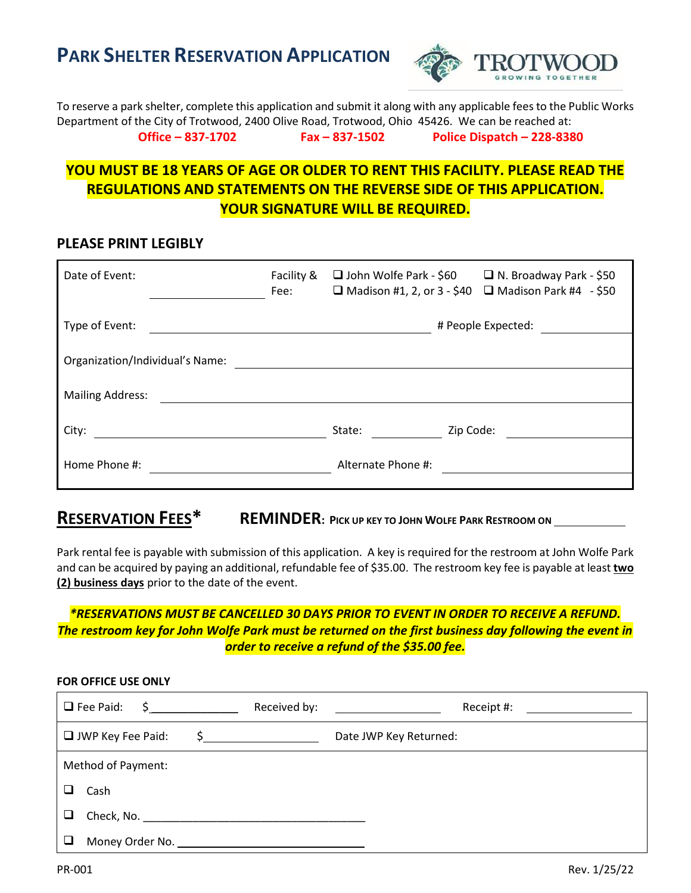**PARK SHELTER RESERVATION APPLICATION**



To reserve a park shelter, complete this application and submit it along with any applicable fees to the Public Works Department of the City of Trotwood, 2400 Olive Road, Trotwood, Ohio 45426. We can be reached at: **Office – 837-1702 Fax – 837-1502 Police Dispatch – 228-8380**

### **YOU MUST BE 18 YEARS OF AGE OR OLDER TO RENT THIS FACILITY. PLEASE READ THE REGULATIONS AND STATEMENTS ON THE REVERSE SIDE OF THIS APPLICATION. YOUR SIGNATURE WILL BE REQUIRED.**

#### **PLEASE PRINT LEGIBLY**

| Date of Event:                  | Facility &<br>Fee: | $\Box$ John Wolfe Park - \$60 |           | $\Box$ N. Broadway Park - \$50<br>$\Box$ Madison #1, 2, or 3 - \$40 $\Box$ Madison Park #4 - \$50 |
|---------------------------------|--------------------|-------------------------------|-----------|---------------------------------------------------------------------------------------------------|
| Type of Event:                  |                    |                               |           | # People Expected:                                                                                |
| Organization/Individual's Name: |                    |                               |           |                                                                                                   |
| <b>Mailing Address:</b>         |                    |                               |           |                                                                                                   |
| City:                           |                    | State:                        | Zip Code: |                                                                                                   |
| Home Phone #:                   |                    | Alternate Phone #:            |           |                                                                                                   |

## **RESERVATION FEES\* REMINDER: <sup>P</sup>ICK UP KEY TO JOHN WOLFE PARK RESTROOM ON**

Park rental fee is payable with submission of this application. A key is required for the restroom at John Wolfe Park and can be acquired by paying an additional, refundable fee of \$35.00. The restroom key fee is payable at least **two (2) business days** prior to the date of the event.

#### *\*RESERVATIONS MUST BE CANCELLED 30 DAYS PRIOR TO EVENT IN ORDER TO RECEIVE A REFUND. The restroom key for John Wolfe Park must be returned on the first business day following the event in order to receive a refund of the \$35.00 fee.*

| FOR OFFICE USE ONLY                                                 |                                                             |              |                                                                                                            |  |  |  |  |  |
|---------------------------------------------------------------------|-------------------------------------------------------------|--------------|------------------------------------------------------------------------------------------------------------|--|--|--|--|--|
|                                                                     | $\Box$ Fee Paid:<br>$\frac{\xi}{\xi}$ and $\frac{\xi}{\xi}$ | Received by: | Receipt #:<br><u> 1990 - Johann Barbara, martin a</u><br><u> 1980 - Andrea Brand, amerikansk politik (</u> |  |  |  |  |  |
| $\Box$ JWP Key Fee Paid:<br>$\frac{1}{2}$<br>Date JWP Key Returned: |                                                             |              |                                                                                                            |  |  |  |  |  |
|                                                                     | Method of Payment:                                          |              |                                                                                                            |  |  |  |  |  |
|                                                                     | Cash                                                        |              |                                                                                                            |  |  |  |  |  |
|                                                                     |                                                             |              |                                                                                                            |  |  |  |  |  |
|                                                                     |                                                             |              |                                                                                                            |  |  |  |  |  |